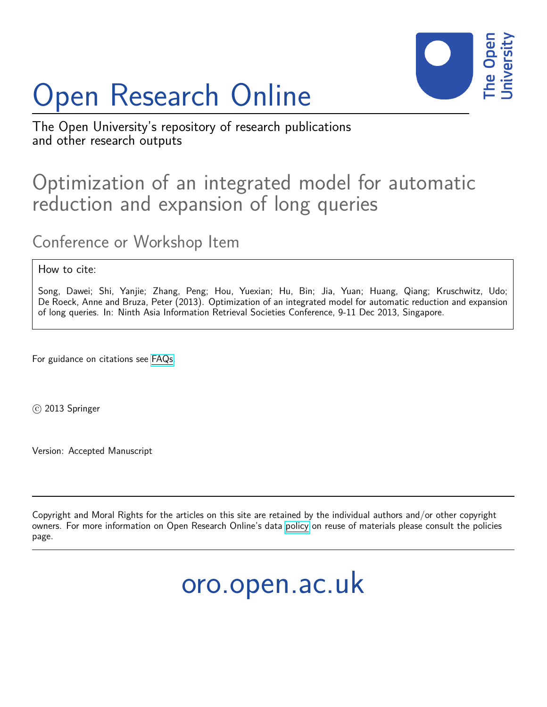# Open Research Online



The Open University's repository of research publications and other research outputs

## Optimization of an integrated model for automatic reduction and expansion of long queries

## Conference or Workshop Item

#### How to cite:

Song, Dawei; Shi, Yanjie; Zhang, Peng; Hou, Yuexian; Hu, Bin; Jia, Yuan; Huang, Qiang; Kruschwitz, Udo; De Roeck, Anne and Bruza, Peter (2013). Optimization of an integrated model for automatic reduction and expansion of long queries. In: Ninth Asia Information Retrieval Societies Conference, 9-11 Dec 2013, Singapore.

For guidance on citations see [FAQs.](http://oro.open.ac.uk/help/helpfaq.html)

 $(c)$  2013 Springer

Version: Accepted Manuscript

Copyright and Moral Rights for the articles on this site are retained by the individual authors and/or other copyright owners. For more information on Open Research Online's data [policy](http://oro.open.ac.uk/policies.html) on reuse of materials please consult the policies page.

## oro.open.ac.uk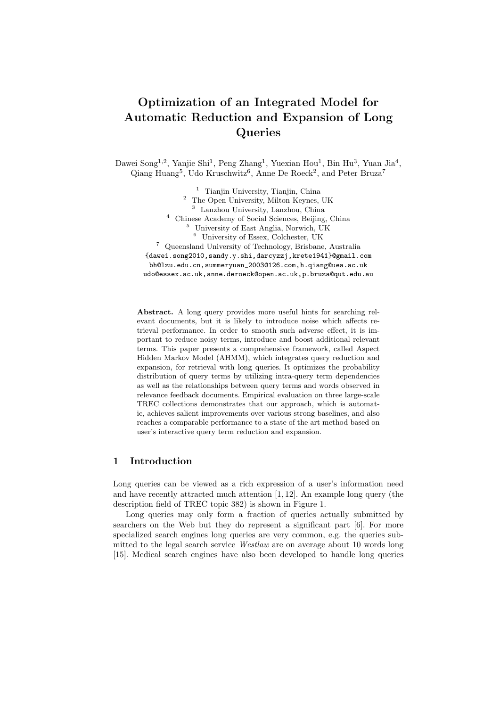### **Optimization of an Integrated Model for Automatic Reduction and Expansion of Long Queries**

Dawei Song<sup>1,2</sup>, Yanjie Shi<sup>1</sup>, Peng Zhang<sup>1</sup>, Yuexian Hou<sup>1</sup>, Bin Hu<sup>3</sup>, Yuan Jia<sup>4</sup>, Qiang Huang<sup>5</sup>, Udo Kruschwitz<sup>6</sup>, Anne De Roeck<sup>2</sup>, and Peter Bruza<sup>7</sup>

<sup>1</sup> Tianjin University, Tianjin, China <sup>2</sup> The Open University, Milton Keynes, UK <sup>3</sup> Lanzhou University, Lanzhou, China <sup>4</sup> Chinese Academy of Social Sciences, Beijing, China <sup>5</sup> University of East Anglia, Norwich, UK <sup>6</sup> University of Essex, Colchester, UK <sup>7</sup> Queensland University of Technology, Brisbane, Australia {dawei.song2010,sandy.y.shi,darcyzzj,krete1941}@gmail.com bh@lzu.edu.cn,summeryuan\_2003@126.com,h.qiang@uea.ac.uk udo@essex.ac.uk,anne.deroeck@open.ac.uk,p.bruza@qut.edu.au

**Abstract.** A long query provides more useful hints for searching relevant documents, but it is likely to introduce noise which affects retrieval performance. In order to smooth such adverse effect, it is important to reduce noisy terms, introduce and boost additional relevant terms. This paper presents a comprehensive framework, called Aspect Hidden Markov Model (AHMM), which integrates query reduction and expansion, for retrieval with long queries. It optimizes the probability distribution of query terms by utilizing intra-query term dependencies as well as the relationships between query terms and words observed in relevance feedback documents. Empirical evaluation on three large-scale TREC collections demonstrates that our approach, which is automatic, achieves salient improvements over various strong baselines, and also reaches a comparable performance to a state of the art method based on user's interactive query term reduction and expansion.

#### **1 Introduction**

Long queries can be viewed as a rich expression of a user's information need and have recently attracted much attention [1, 12]. An example long query (the description field of TREC topic 382) is shown in Figure 1.

Long queries may only form a fraction of queries actually submitted by searchers on the Web but they do represent a significant part [6]. For more specialized search engines long queries are very common, e.g. the queries submitted to the legal search service *Westlaw* are on average about 10 words long [15]. Medical search engines have also been developed to handle long queries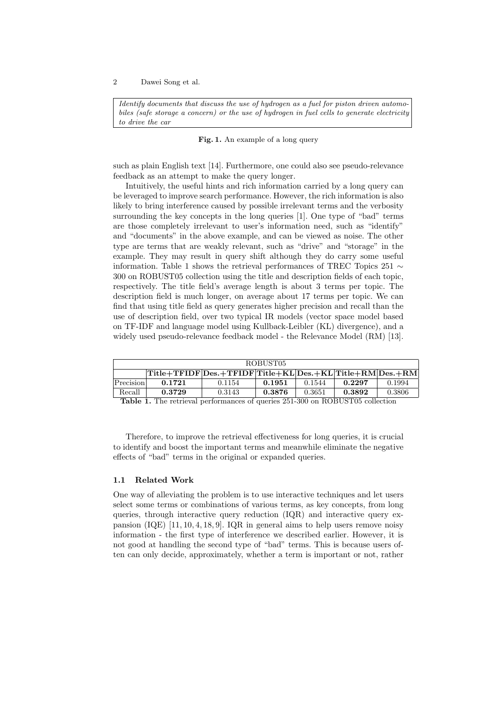*Identify documents that discuss the use of hydrogen as a fuel for piston driven automobiles (safe storage a concern) or the use of hydrogen in fuel cells to generate electricity to drive the car*

Fig. 1. An example of a long query

such as plain English text [14]. Furthermore, one could also see pseudo-relevance feedback as an attempt to make the query longer.

Intuitively, the useful hints and rich information carried by a long query can be leveraged to improve search performance. However, the rich information is also likely to bring interference caused by possible irrelevant terms and the verbosity surrounding the key concepts in the long queries [1]. One type of "bad" terms are those completely irrelevant to user's information need, such as "identify" and "documents" in the above example, and can be viewed as noise. The other type are terms that are weakly relevant, such as "drive" and "storage" in the example. They may result in query shift although they do carry some useful information. Table 1 shows the retrieval performances of TREC Topics 251 *∼* 300 on ROBUST05 collection using the title and description fields of each topic, respectively. The title field's average length is about 3 terms per topic. The description field is much longer, on average about 17 terms per topic. We can find that using title field as query generates higher precision and recall than the use of description field, over two typical IR models (vector space model based on TF-IDF and language model using Kullback-Leibler (KL) divergence), and a widely used pseudo-relevance feedback model - the Relevance Model (RM) [13].

| ROBUST05         |                                                                                                                  |        |        |        |        |        |  |
|------------------|------------------------------------------------------------------------------------------------------------------|--------|--------|--------|--------|--------|--|
|                  | $\vert$ Title+TFIDF $\vert$ Des.+TFIDF $\vert$ Title+KL $\vert$ Des.+KL $\vert$ Title+RM $\vert$ Des.+RM $\vert$ |        |        |        |        |        |  |
| Precision        | 0.1721                                                                                                           | 0.1154 | 0.1951 | 0.1544 | 0.2297 | 0.1994 |  |
| Recall<br>__ _ _ | 0.3729                                                                                                           | 0.3143 | 0.3876 | 0.3651 | 0.3892 | 0.3806 |  |

**Table 1.** The retrieval performances of queries 251-300 on ROBUST05 collection

Therefore, to improve the retrieval effectiveness for long queries, it is crucial to identify and boost the important terms and meanwhile eliminate the negative effects of "bad" terms in the original or expanded queries.

#### **1.1 Related Work**

One way of alleviating the problem is to use interactive techniques and let users select some terms or combinations of various terms, as key concepts, from long queries, through interactive query reduction (IQR) and interactive query expansion  $(IQE)$  [11, 10, 4, 18, 9]. IQR in general aims to help users remove noisy information - the first type of interference we described earlier. However, it is not good at handling the second type of "bad" terms. This is because users often can only decide, approximately, whether a term is important or not, rather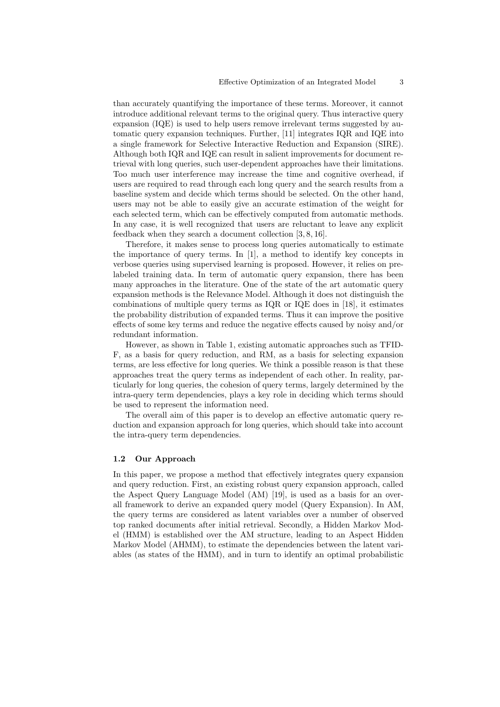than accurately quantifying the importance of these terms. Moreover, it cannot introduce additional relevant terms to the original query. Thus interactive query expansion (IQE) is used to help users remove irrelevant terms suggested by automatic query expansion techniques. Further, [11] integrates IQR and IQE into a single framework for Selective Interactive Reduction and Expansion (SIRE). Although both IQR and IQE can result in salient improvements for document retrieval with long queries, such user-dependent approaches have their limitations. Too much user interference may increase the time and cognitive overhead, if users are required to read through each long query and the search results from a baseline system and decide which terms should be selected. On the other hand, users may not be able to easily give an accurate estimation of the weight for each selected term, which can be effectively computed from automatic methods. In any case, it is well recognized that users are reluctant to leave any explicit feedback when they search a document collection [3, 8, 16].

Therefore, it makes sense to process long queries automatically to estimate the importance of query terms. In [1], a method to identify key concepts in verbose queries using supervised learning is proposed. However, it relies on prelabeled training data. In term of automatic query expansion, there has been many approaches in the literature. One of the state of the art automatic query expansion methods is the Relevance Model. Although it does not distinguish the combinations of multiple query terms as IQR or IQE does in [18], it estimates the probability distribution of expanded terms. Thus it can improve the positive effects of some key terms and reduce the negative effects caused by noisy and/or redundant information.

However, as shown in Table 1, existing automatic approaches such as TFID-F, as a basis for query reduction, and RM, as a basis for selecting expansion terms, are less effective for long queries. We think a possible reason is that these approaches treat the query terms as independent of each other. In reality, particularly for long queries, the cohesion of query terms, largely determined by the intra-query term dependencies, plays a key role in deciding which terms should be used to represent the information need.

The overall aim of this paper is to develop an effective automatic query reduction and expansion approach for long queries, which should take into account the intra-query term dependencies.

#### **1.2 Our Approach**

In this paper, we propose a method that effectively integrates query expansion and query reduction. First, an existing robust query expansion approach, called the Aspect Query Language Model (AM) [19], is used as a basis for an overall framework to derive an expanded query model (Query Expansion). In AM, the query terms are considered as latent variables over a number of observed top ranked documents after initial retrieval. Secondly, a Hidden Markov Model (HMM) is established over the AM structure, leading to an Aspect Hidden Markov Model (AHMM), to estimate the dependencies between the latent variables (as states of the HMM), and in turn to identify an optimal probabilistic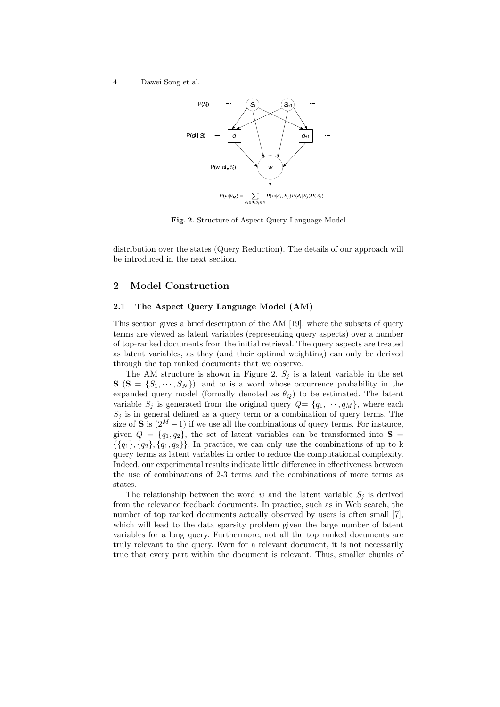

**Fig. 2.** Structure of Aspect Query Language Model

distribution over the states (Query Reduction). The details of our approach will be introduced in the next section.

#### **2 Model Construction**

#### **2.1 The Aspect Query Language Model (AM)**

This section gives a brief description of the AM [19], where the subsets of query terms are viewed as latent variables (representing query aspects) over a number of top-ranked documents from the initial retrieval. The query aspects are treated as latent variables, as they (and their optimal weighting) can only be derived through the top ranked documents that we observe.

The AM structure is shown in Figure 2.  $S_i$  is a latent variable in the set  $S(S = \{S_1, \dots, S_N\})$ , and *w* is a word whose occurrence probability in the expanded query model (formally denoted as  $\theta_Q$ ) to be estimated. The latent variable  $S_i$  is generated from the original query  $Q = \{q_1, \dots, q_M\}$ , where each  $S_i$  is in general defined as a query term or a combination of query terms. The size of **S** is  $(2^M - 1)$  if we use all the combinations of query terms. For instance, given  $Q = \{q_1, q_2\}$ , the set of latent variables can be transformed into **S** =  $\{\{q_1\}, \{q_2\}, \{q_1, q_2\}\}\$ . In practice, we can only use the combinations of up to k query terms as latent variables in order to reduce the computational complexity. Indeed, our experimental results indicate little difference in effectiveness between the use of combinations of 2-3 terms and the combinations of more terms as states.

The relationship between the word  $w$  and the latent variable  $S_i$  is derived from the relevance feedback documents. In practice, such as in Web search, the number of top ranked documents actually observed by users is often small [7], which will lead to the data sparsity problem given the large number of latent variables for a long query. Furthermore, not all the top ranked documents are truly relevant to the query. Even for a relevant document, it is not necessarily true that every part within the document is relevant. Thus, smaller chunks of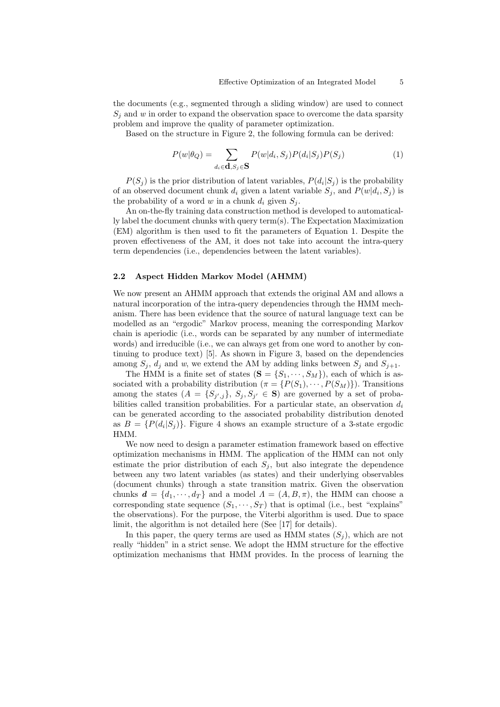the documents (e.g., segmented through a sliding window) are used to connect  $S_i$  and *w* in order to expand the observation space to overcome the data sparsity problem and improve the quality of parameter optimization.

Based on the structure in Figure 2, the following formula can be derived:

$$
P(w|\theta_Q) = \sum_{d_i \in \mathbf{d}, S_j \in \mathbf{S}} P(w|d_i, S_j) P(d_i|S_j) P(S_j)
$$
(1)

 $P(S_j)$  is the prior distribution of latent variables,  $P(d_i|S_j)$  is the probability of an observed document chunk  $d_i$  given a latent variable  $S_j$ , and  $P(w|d_i, S_j)$  is the probability of a word *w* in a chunk  $d_i$  given  $S_i$ .

An on-the-fly training data construction method is developed to automatically label the document chunks with query term(s). The Expectation Maximization (EM) algorithm is then used to fit the parameters of Equation 1. Despite the proven effectiveness of the AM, it does not take into account the intra-query term dependencies (i.e., dependencies between the latent variables).

#### **2.2 Aspect Hidden Markov Model (AHMM)**

We now present an AHMM approach that extends the original AM and allows a natural incorporation of the intra-query dependencies through the HMM mechanism. There has been evidence that the source of natural language text can be modelled as an "ergodic" Markov process, meaning the corresponding Markov chain is aperiodic (i.e., words can be separated by any number of intermediate words) and irreducible (i.e., we can always get from one word to another by continuing to produce text) [5]. As shown in Figure 3, based on the dependencies among  $S_i$ ,  $d_i$  and  $w$ , we extend the AM by adding links between  $S_i$  and  $S_{i+1}$ .

The HMM is a finite set of states  $(\mathbf{S} = \{S_1, \dots, S_M\})$ , each of which is associated with a probability distribution  $(\pi = {P(S_1), \dots, P(S_M)}$ . Transitions among the states  $(A = \{S_{j',j}\}, S_j, S_{j'} \in S)$  are governed by a set of probabilities called transition probabilities. For a particular state, an observation *d<sup>i</sup>* can be generated according to the associated probability distribution denoted as  $B = {P(d_i|S_j)}$ . Figure 4 shows an example structure of a 3-state ergodic HMM.

We now need to design a parameter estimation framework based on effective optimization mechanisms in HMM. The application of the HMM can not only estimate the prior distribution of each  $S_i$ , but also integrate the dependence between any two latent variables (as states) and their underlying observables (document chunks) through a state transition matrix. Given the observation chunks  $\mathbf{d} = \{d_1, \dots, d_T\}$  and a model  $\Lambda = (A, B, \pi)$ , the HMM can choose a corresponding state sequence  $(S_1, \dots, S_T)$  that is optimal (i.e., best "explains" the observations). For the purpose, the Viterbi algorithm is used. Due to space limit, the algorithm is not detailed here (See [17] for details).

In this paper, the query terms are used as HMM states  $(S_i)$ , which are not really "hidden" in a strict sense. We adopt the HMM structure for the effective optimization mechanisms that HMM provides. In the process of learning the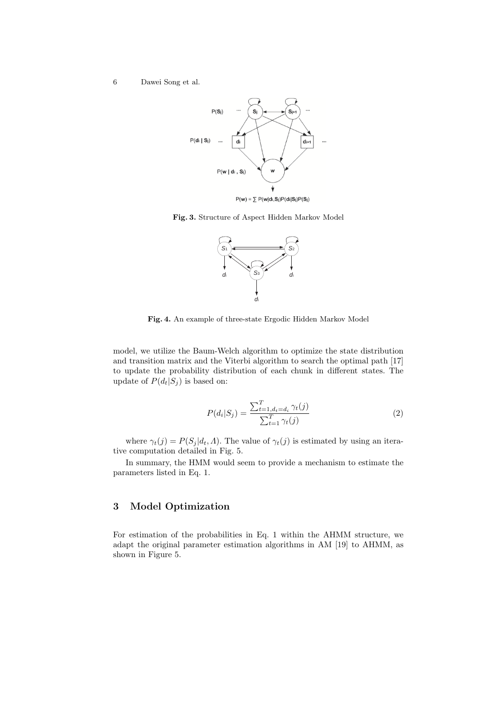

**Fig. 3.** Structure of Aspect Hidden Markov Model



**Fig. 4.** An example of three-state Ergodic Hidden Markov Model

model, we utilize the Baum-Welch algorithm to optimize the state distribution and transition matrix and the Viterbi algorithm to search the optimal path [17] to update the probability distribution of each chunk in different states. The update of  $P(d_t|S_i)$  is based on:

$$
P(d_i|S_j) = \frac{\sum_{t=1, d_t=d_i}^{T} \gamma_t(j)}{\sum_{t=1}^{T} \gamma_t(j)}
$$
(2)

where  $\gamma_t(j) = P(S_j|d_t, \Lambda)$ . The value of  $\gamma_t(j)$  is estimated by using an iterative computation detailed in Fig. 5.

In summary, the HMM would seem to provide a mechanism to estimate the parameters listed in Eq. 1.

#### **3 Model Optimization**

For estimation of the probabilities in Eq. 1 within the AHMM structure, we adapt the original parameter estimation algorithms in AM [19] to AHMM, as shown in Figure 5.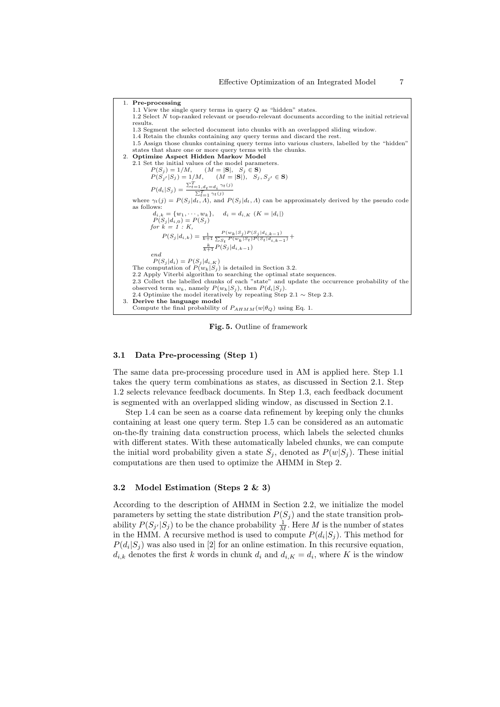

**Fig. 5.** Outline of framework

#### **3.1 Data Pre-processing (Step 1)**

The same data pre-processing procedure used in AM is applied here. Step 1.1 takes the query term combinations as states, as discussed in Section 2.1. Step 1.2 selects relevance feedback documents. In Step 1.3, each feedback document is segmented with an overlapped sliding window, as discussed in Section 2.1.

Step 1.4 can be seen as a coarse data refinement by keeping only the chunks containing at least one query term. Step 1.5 can be considered as an automatic on-the-fly training data construction process, which labels the selected chunks with different states. With these automatically labeled chunks, we can compute the initial word probability given a state  $S_j$ , denoted as  $P(w|S_j)$ . These initial computations are then used to optimize the AHMM in Step 2.

#### **3.2 Model Estimation (Steps 2 & 3)**

According to the description of AHMM in Section 2.2, we initialize the model parameters by setting the state distribution  $P(S_i)$  and the state transition probability  $P(S_{j'}|S_j)$  to be the chance probability  $\frac{1}{M}$ . Here M is the number of states in the HMM. A recursive method is used to compute  $P(d_i|S_j)$ . This method for  $P(d_i|S_j)$  was also used in [2] for an online estimation. In this recursive equation,  $d_{i,k}$  denotes the first *k* words in chunk  $d_i$  and  $d_{i,K} = d_i$ , where *K* is the window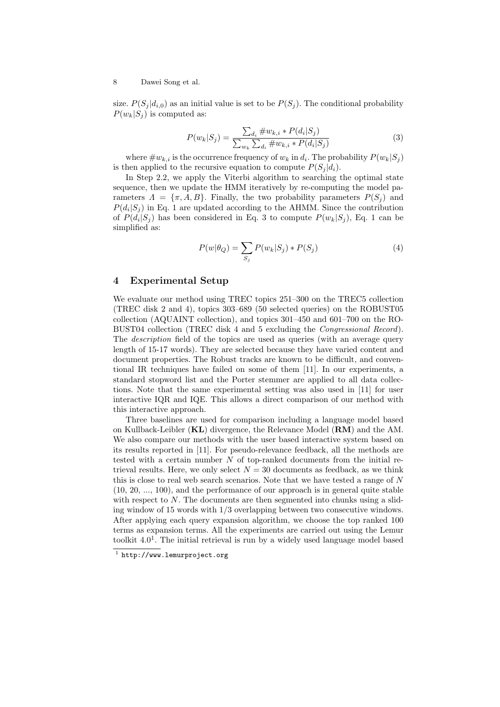size.  $P(S_i|d_{i,0})$  as an initial value is set to be  $P(S_i)$ . The conditional probability  $P(w_k|S_i)$  is computed as:

$$
P(w_k|S_j) = \frac{\sum_{d_i} \#w_{k,i} * P(d_i|S_j)}{\sum_{w_k} \sum_{d_i} \#w_{k,i} * P(d_i|S_j)}
$$
(3)

where  $\#w_{k,i}$  is the occurrence frequency of  $w_k$  in  $d_i$ . The probability  $P(w_k|S_j)$ is then applied to the recursive equation to compute  $P(S_i|d_i)$ .

In Step 2.2, we apply the Viterbi algorithm to searching the optimal state sequence, then we update the HMM iteratively by re-computing the model parameters  $\Lambda = {\pi, A, B}$ . Finally, the two probability parameters  $P(S_i)$  and  $P(d_i|S_j)$  in Eq. 1 are updated according to the AHMM. Since the contribution of  $P(d_i|S_j)$  has been considered in Eq. 3 to compute  $P(w_k|S_j)$ , Eq. 1 can be simplified as:

$$
P(w|\theta_Q) = \sum_{S_j} P(w_k|S_j) * P(S_j)
$$
\n<sup>(4)</sup>

#### **4 Experimental Setup**

We evaluate our method using TREC topics 251–300 on the TREC5 collection (TREC disk 2 and 4), topics 303–689 (50 selected queries) on the ROBUST05 collection (AQUAINT collection), and topics 301–450 and 601–700 on the RO-BUST04 collection (TREC disk 4 and 5 excluding the *Congressional Record*). The *description* field of the topics are used as queries (with an average query length of 15-17 words). They are selected because they have varied content and document properties. The Robust tracks are known to be difficult, and conventional IR techniques have failed on some of them [11]. In our experiments, a standard stopword list and the Porter stemmer are applied to all data collections. Note that the same experimental setting was also used in [11] for user interactive IQR and IQE. This allows a direct comparison of our method with this interactive approach.

Three baselines are used for comparison including a language model based on Kullback-Leibler (**KL**) divergence, the Relevance Model (**RM**) and the AM. We also compare our methods with the user based interactive system based on its results reported in [11]. For pseudo-relevance feedback, all the methods are tested with a certain number *N* of top-ranked documents from the initial retrieval results. Here, we only select  $N = 30$  documents as feedback, as we think this is close to real web search scenarios. Note that we have tested a range of *N* (10, 20, ..., 100), and the performance of our approach is in general quite stable with respect to N. The documents are then segmented into chunks using a sliding window of 15 words with 1/3 overlapping between two consecutive windows. After applying each query expansion algorithm, we choose the top ranked 100 terms as expansion terms. All the experiments are carried out using the Lemur toolkit  $4.0<sup>1</sup>$ . The initial retrieval is run by a widely used language model based

<sup>1</sup> http://www.lemurproject.org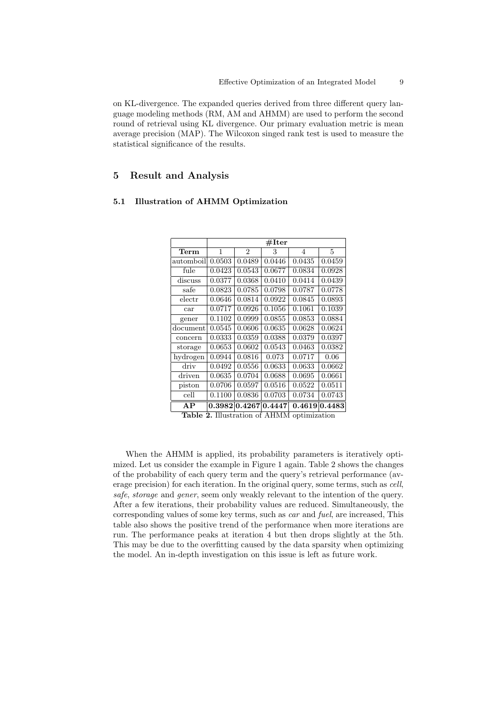on KL-divergence. The expanded queries derived from three different query language modeling methods (RM, AM and AHMM) are used to perform the second round of retrieval using KL divergence. Our primary evaluation metric is mean average precision (MAP). The Wilcoxon singed rank test is used to measure the statistical significance of the results.

#### **5 Result and Analysis**

#### **5.1 Illustration of AHMM Optimization**

|           | $\#\mathrm{Iter}$ |                             |        |        |        |  |  |
|-----------|-------------------|-----------------------------|--------|--------|--------|--|--|
| Term      | 1                 | $\mathcal{D}_{\mathcal{L}}$ | 3      | 4      | 5      |  |  |
|           |                   |                             |        |        |        |  |  |
| automboil | 0.0503            | 0.0489                      | 0.0446 | 0.0435 | 0.0459 |  |  |
| fule      | 0.0423            | 0.0543                      | 0.0677 | 0.0834 | 0.0928 |  |  |
| discuss   | 0.0377            | 0.0368                      | 0.0410 | 0.0414 | 0.0439 |  |  |
| safe      | 0.0823            | 0.0785                      | 0.0798 | 0.0787 | 0.0778 |  |  |
| electr    | 0.0646            | 0.0814                      | 0.0922 | 0.0845 | 0.0893 |  |  |
| car       | 0.0717            | 0.0926                      | 0.1056 | 0.1061 | 0.1039 |  |  |
| gener     | 0.1102            | 0.0999                      | 0.0855 | 0.0853 | 0.0884 |  |  |
| document  | 0.0545            | 0.0606                      | 0.0635 | 0.0628 | 0.0624 |  |  |
| concern   | 0.0333            | 0.0359                      | 0.0388 | 0.0379 | 0.0397 |  |  |
| storage   | 0.0653            | 0.0602                      | 0.0543 | 0.0463 | 0.0382 |  |  |
| hydrogen  | 0.0944            | 0.0816                      | 0.073  | 0.0717 | 0.06   |  |  |
| driv      | 0.0492            | 0.0556                      | 0.0633 | 0.0633 | 0.0662 |  |  |
| driven    | 0.0635            | 0.0704                      | 0.0688 | 0.0695 | 0.0661 |  |  |
| piston    | 0.0706            | 0.0597                      | 0.0516 | 0.0522 | 0.0511 |  |  |
| cell      | 0.1100            | 0.0836                      | 0.0703 | 0.0734 | 0.0743 |  |  |
| AP        |                   | 0.3982 0.4267 0.4447        |        | 0.4619 | 0.4483 |  |  |

**Table 2.** Illustration of AHMM optimization

When the AHMM is applied, its probability parameters is iteratively optimized. Let us consider the example in Figure 1 again. Table 2 shows the changes of the probability of each query term and the query's retrieval performance (average precision) for each iteration. In the original query, some terms, such as *cell*, *safe*, *storage* and *gener*, seem only weakly relevant to the intention of the query. After a few iterations, their probability values are reduced. Simultaneously, the corresponding values of some key terms, such as *car* and *fuel*, are increased, This table also shows the positive trend of the performance when more iterations are run. The performance peaks at iteration 4 but then drops slightly at the 5th. This may be due to the overfitting caused by the data sparsity when optimizing the model. An in-depth investigation on this issue is left as future work.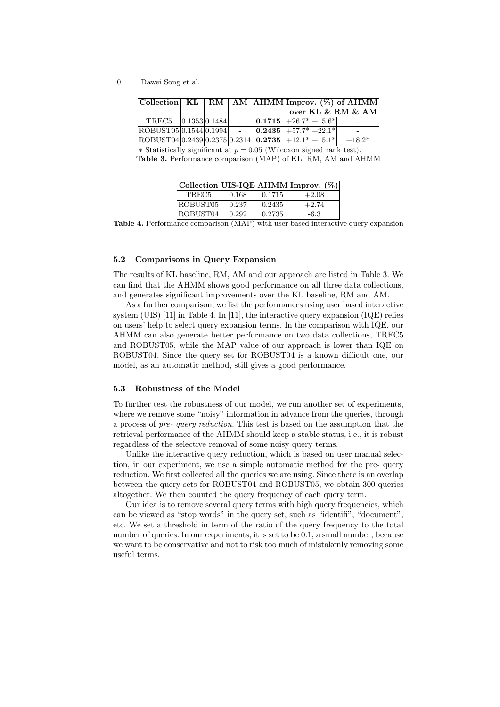| $\boxed{\text{Collection} \mid \text{KL} \mid \text{RM} \mid \text{AM} \mid \text{AHMM}   \text{Improv.} (\%) \text{ of } \text{AHMM}}$ |  |            |                          |  |                   |
|-----------------------------------------------------------------------------------------------------------------------------------------|--|------------|--------------------------|--|-------------------|
|                                                                                                                                         |  |            |                          |  | over KL & RM & AM |
| TREC5   0.1353   0.1484                                                                                                                 |  | $\sim$     | $0.1715$ +26.7* +15.6*   |  |                   |
| ROBUST05 0.1544 0.1994                                                                                                                  |  | $\sim$ $-$ | 0.2435 $ +57.7* +22.1* $ |  |                   |
| $ ROBUST04 0.2439 0.2375 0.2314 $ 0.2735 $ +12.1^* +15.1^* $                                                                            |  |            |                          |  | $+18.2*$          |

*∗* Statistically significant at *p* = 0*.*05 (Wilcoxon signed rank test).

**Table 3.** Performance comparison (MAP) of KL, RM, AM and AHMM

|                      |       |        | Collection UIS-IQE AHMM Improv. $(\%)$ |
|----------------------|-------|--------|----------------------------------------|
| TREC5                | 0.168 | 0.1715 | $+2.08$                                |
| ROBUST <sub>05</sub> | 0.237 | 0.2435 | $+2.74$                                |
| ROBUST04             | 0.292 | 0.2735 | $-6.3$                                 |

**Table 4.** Performance comparison (MAP) with user based interactive query expansion

#### **5.2 Comparisons in Query Expansion**

The results of KL baseline, RM, AM and our approach are listed in Table 3. We can find that the AHMM shows good performance on all three data collections, and generates significant improvements over the KL baseline, RM and AM.

As a further comparison, we list the performances using user based interactive system (UIS) [11] in Table 4. In [11], the interactive query expansion (IQE) relies on users' help to select query expansion terms. In the comparison with IQE, our AHMM can also generate better performance on two data collections, TREC5 and ROBUST05, while the MAP value of our approach is lower than IQE on ROBUST04. Since the query set for ROBUST04 is a known difficult one, our model, as an automatic method, still gives a good performance.

#### **5.3 Robustness of the Model**

To further test the robustness of our model, we run another set of experiments, where we remove some "noisy" information in advance from the queries, through a process of *pre- query reduction*. This test is based on the assumption that the retrieval performance of the AHMM should keep a stable status, i.e., it is robust regardless of the selective removal of some noisy query terms.

Unlike the interactive query reduction, which is based on user manual selection, in our experiment, we use a simple automatic method for the pre- query reduction. We first collected all the queries we are using. Since there is an overlap between the query sets for ROBUST04 and ROBUST05, we obtain 300 queries altogether. We then counted the query frequency of each query term.

Our idea is to remove several query terms with high query frequencies, which can be viewed as "stop words" in the query set, such as "identifi", "document", etc. We set a threshold in term of the ratio of the query frequency to the total number of queries. In our experiments, it is set to be 0.1, a small number, because we want to be conservative and not to risk too much of mistakenly removing some useful terms.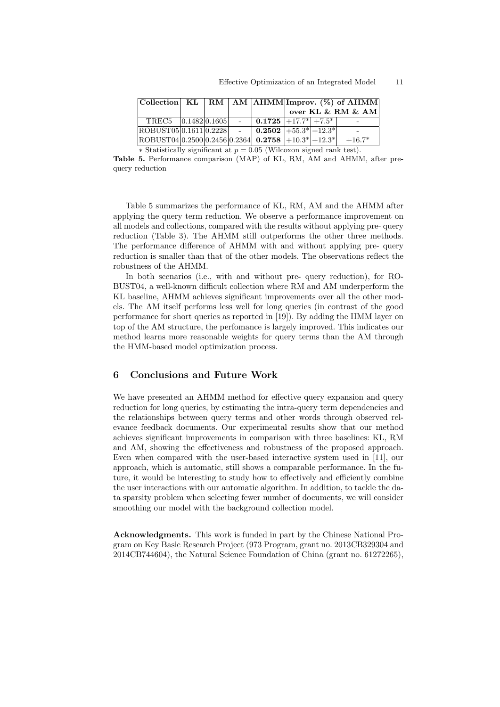| Collection   KL   RM   AM   AHMM Improv. (%) of AHMM                   |  |  |            |                                          |  |                   |
|------------------------------------------------------------------------|--|--|------------|------------------------------------------|--|-------------------|
|                                                                        |  |  |            |                                          |  | over KL & RM & AM |
| TREC5 $ 0.1482 0.1605 $                                                |  |  | $\sim$ $-$ | $\mid$ 0.1725 $\mid$ +17.7* $\mid$ +7.5* |  |                   |
| ROBUST05 0.1611 0.2228                                                 |  |  |            | $-$ 0.2502 +55.3*+12.3*                  |  |                   |
| $\overline{\text{ROBUST04}}[0.2500]0.2456]0.2364$ 0.2758 +10.3*+12.3*  |  |  |            |                                          |  | $+16.7*$          |
| * Statistically significant at $p = 0.05$ (Wilcoxon signed rank test). |  |  |            |                                          |  |                   |

**Table 5.** Performance comparison (MAP) of KL, RM, AM and AHMM, after prequery reduction

Table 5 summarizes the performance of KL, RM, AM and the AHMM after applying the query term reduction. We observe a performance improvement on all models and collections, compared with the results without applying pre- query reduction (Table 3). The AHMM still outperforms the other three methods. The performance difference of AHMM with and without applying pre- query reduction is smaller than that of the other models. The observations reflect the robustness of the AHMM.

In both scenarios (i.e., with and without pre- query reduction), for RO-BUST04, a well-known difficult collection where RM and AM underperform the KL baseline, AHMM achieves significant improvements over all the other models. The AM itself performs less well for long queries (in contrast of the good performance for short queries as reported in [19]). By adding the HMM layer on top of the AM structure, the perfomance is largely improved. This indicates our method learns more reasonable weights for query terms than the AM through the HMM-based model optimization process.

#### **6 Conclusions and Future Work**

We have presented an AHMM method for effective query expansion and query reduction for long queries, by estimating the intra-query term dependencies and the relationships between query terms and other words through observed relevance feedback documents. Our experimental results show that our method achieves significant improvements in comparison with three baselines: KL, RM and AM, showing the effectiveness and robustness of the proposed approach. Even when compared with the user-based interactive system used in [11], our approach, which is automatic, still shows a comparable performance. In the future, it would be interesting to study how to effectively and efficiently combine the user interactions with our automatic algorithm. In addition, to tackle the data sparsity problem when selecting fewer number of documents, we will consider smoothing our model with the background collection model.

**Acknowledgments.** This work is funded in part by the Chinese National Program on Key Basic Research Project (973 Program, grant no. 2013CB329304 and 2014CB744604), the Natural Science Foundation of China (grant no. 61272265),